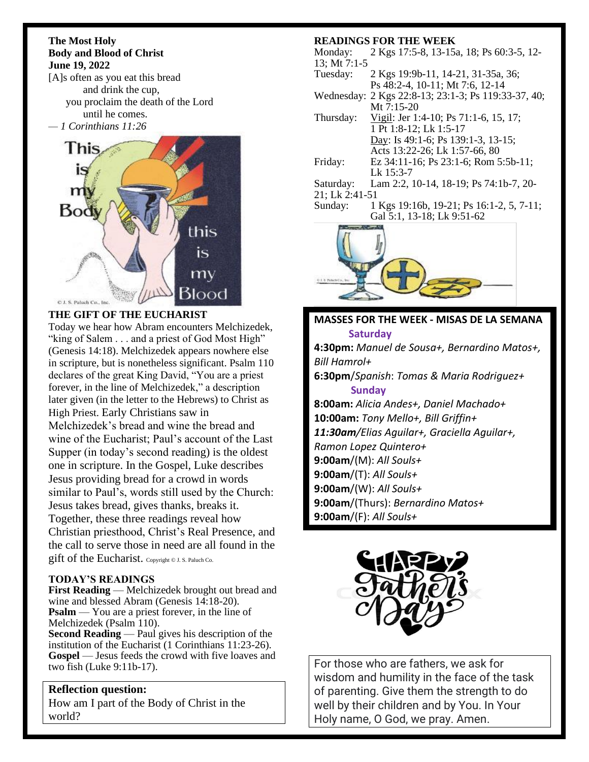#### **The Most Holy Body and Blood of Christ June 19, 2022**

[A]s often as you eat this bread and drink the cup, you proclaim the death of the Lord until he comes. *— 1 Corinthians 11:26*



## **THE GIFT OF THE EUCHARIST**

Today we hear how Abram encounters Melchizedek, "king of Salem . . . and a priest of God Most High" (Genesis 14:18). Melchizedek appears nowhere else in scripture, but is nonetheless significant. Psalm 110 declares of the great King David, "You are a priest forever, in the line of Melchizedek," a description later given (in the letter to the Hebrews) to Christ as High Priest. Early Christians saw in Melchizedek's bread and wine the bread and wine of the Eucharist; Paul's account of the Last Supper (in today's second reading) is the oldest one in scripture. In the Gospel, Luke describes Jesus providing bread for a crowd in words similar to Paul's, words still used by the Church: Jesus takes bread, gives thanks, breaks it. Together, these three readings reveal how Christian priesthood, Christ's Real Presence, and the call to serve those in need are all found in the gift of the Eucharist. Copyright © J. S. Paluch Co.

## **TODAY'S READINGS**

**First Reading** — Melchizedek brought out bread and wine and blessed Abram (Genesis 14:18-20). **Psalm** — You are a priest forever, in the line of Melchizedek (Psalm 110).

**Second Reading** — Paul gives his description of the institution of the Eucharist (1 Corinthians 11:23-26). **Gospel** — Jesus feeds the crowd with five loaves and two fish (Luke 9:11b-17).

### **Reflection question:** How am I part of the Body of Christ in the world?

### **READINGS FOR THE WEEK**

Monday: 2 Kgs 17:5-8, 13-15a, 18; Ps 60:3-5, 12- 13; Mt 7:1-5

- Tuesday: 2 Kgs 19:9b-11, 14-21, 31-35a, 36; Ps 48:2-4, 10-11; Mt 7:6, 12-14
- Wednesday: 2 Kgs 22:8-13; 23:1-3; Ps 119:33-37, 40; Mt 7:15-20
- Thursday: Vigil: Jer 1:4-10; Ps 71:1-6, 15, 17; 1 Pt 1:8-12; Lk 1:5-17 Day: Is 49:1-6; Ps 139:1-3, 13-15; Acts 13:22-26; Lk 1:57-66, 80 Friday: Ez 34:11-16; Ps 23:1-6; Rom 5:5b-11;
- Lk 15:3-7
- Saturday: Lam 2:2, 10-14, 18-19; Ps 74:1b-7, 20-
- 21; Lk 2:41-51
- Sunday: 1 Kgs 19:16b, 19-21; Ps 16:1-2, 5, 7-11; Gal 5:1, 13-18; Lk 9:51-62



**MASSES FOR THE WEEK - MISAS DE LA SEMANA Saturday 4:30pm:** *Manuel de Sousa+, Bernardino Matos+, Bill Hamrol+* **6:30pm**/*Spanish*: *Tomas & Maria Rodriguez+*  **Sunday 8:00am:** *Alicia Andes+, Daniel Machado+* **10:00am:** *Tony Mello+, Bill Griffin+ 11:30am/Elias Aguilar+, Graciella Aguilar+, Ramon Lopez Quintero+* **9:00am**/(M): *All Souls+* **9:00am**/(T): *All Souls+* **9:00am**/(W): *All Souls+* **9:00am**/(Thurs): *Bernardino Matos+* **9:00am**/(F): *All Souls+*



For those who are fathers, we ask for wisdom and humility in the face of the task of parenting. Give them the strength to do well by their children and by You. In Your Holy name, O God, we pray. Amen.